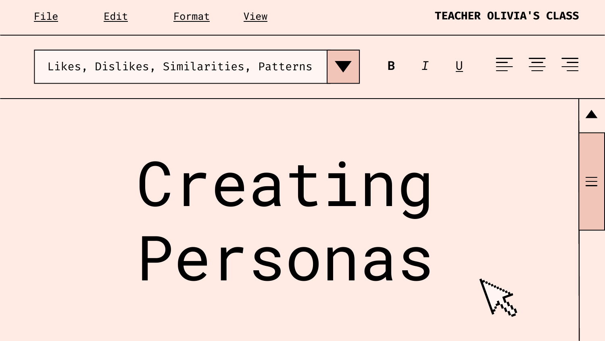Likes, Dislikes, Similarities, Patterns







# Creating Personas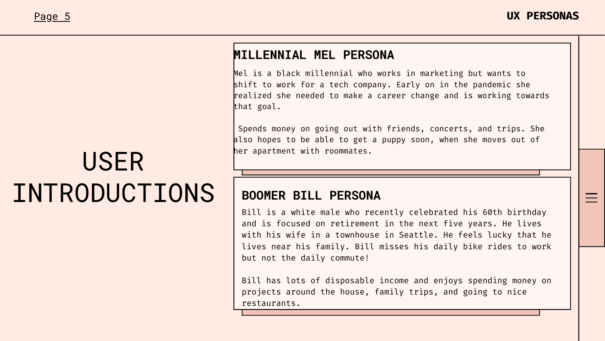### USER INTRODUCTIONS

Mel is a black millennial who works in marketing but wants to shift to work for a tech company. Early on in the pandemic she realized she needed to make a career change and is working towards that goal.

Spends money on going out with friends, concerts, and trips. She also hopes to be able to get a puppy soon, when she moves out of her apartment with roommates.

Bill is a white male who recently celebrated his 60th birthday and is focused on retirement in the next five years. He lives with his wife in a townhouse in Seattle. He feels lucky that he lives near his family. Bill misses his daily bike rides to work but not the daily commute!

Bill has lots of disposable income and enjoys spending money on projects around the house, family trips, and going to nice restaurants.

#### **MILLENNIAL MEL PERSONA**

#### **BOOMER BILL PERSONA**

#### Page 5 **UX PERSONAS**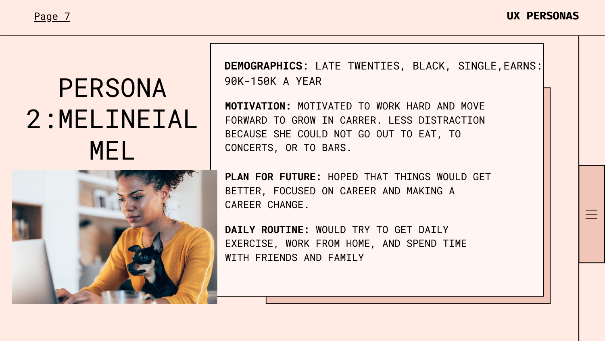## PERSONA 2:MELINEIAL MEL



#### Page 7 **UX PERSONAS**

**MOTIVATION:** MOTIVATED TO WORK HARD AND MOVE FORWARD TO GROW IN CARRER. LESS DISTRACTION BECAUSE SHE COULD NOT GO OUT TO EAT, TO CONCERTS, OR TO BARS.

**PLAN FOR FUTURE:** HOPED THAT THINGS WOULD GET BETTER, FOCUSED ON CAREER AND MAKING A CAREER CHANGE.

**DAILY ROUTINE:** WOULD TRY TO GET DAILY EXERCISE, WORK FROM HOME, AND SPEND TIME WITH FRIENDS AND FAMILY

#### **DEMOGRAPHICS**: LATE TWENTIES, BLACK, SINGLE,EARNS:

90K-150K A YEAR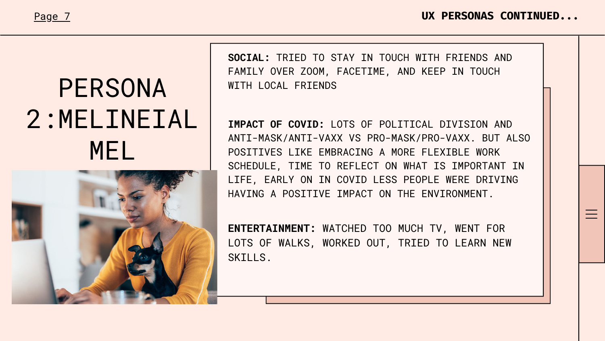## PERSONA 2:MELINEIAL MEL



#### Page 7 **UX PERSONAS CONTINUED...**

**SOCIAL:** TRIED TO STAY IN TOUCH WITH FRIENDS AND FAMILY OVER ZOOM, FACETIME, AND KEEP IN TOUCH WITH LOCAL FRIENDS



**IMPACT OF COVID:** LOTS OF POLITICAL DIVISION AND POSITIVES LIKE EMBRACING A MORE FLEXIBLE WORK SCHEDULE, TIME TO REFLECT ON WHAT IS IMPORTANT IN LIFE, EARLY ON IN COVID LESS PEOPLE WERE DRIVING HAVING A POSITIVE IMPACT ON THE ENVIRONMENT.

**ENTERTAINMENT:** WATCHED TOO MUCH TV, WENT FOR LOTS OF WALKS, WORKED OUT, TRIED TO LEARN NEW SKILLS.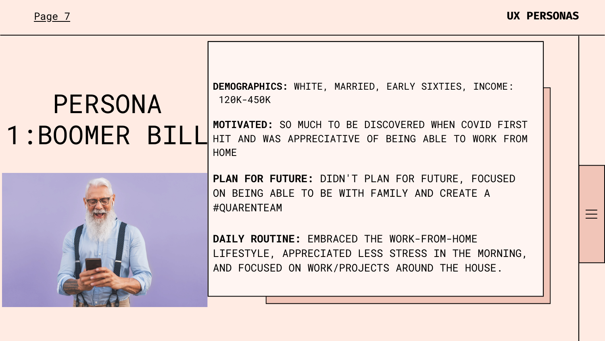### PERSONA 1:BOOMER BILL







**MOTIVATED:** SO MUCH TO BE DISCOVERED WHEN COVID FIRST HIT AND WAS APPRECIATIVE OF BEING ABLE TO WORK FROM HOME

**PLAN FOR FUTURE:** DIDN'T PLAN FOR FUTURE, FOCUSED ON BEING ABLE TO BE WITH FAMILY AND CREATE A #QUARENTEAM

**DAILY ROUTINE:** EMBRACED THE WORK-FROM-HOME LIFESTYLE, APPRECIATED LESS STRESS IN THE MORNING, AND FOCUSED ON WORK/PROJECTS AROUND THE HOUSE.

**DEMOGRAPHICS:** WHITE, MARRIED, EARLY SIXTIES, INCOME: 120K-450K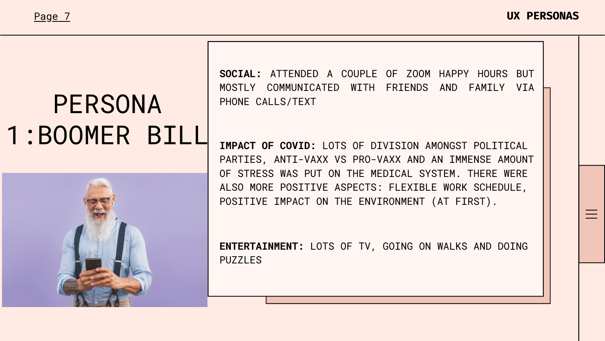### PERSONA 1:BOOMER BILL



#### Page 7 **UX PERSONAS**

**SOCIAL:** ATTENDED A COUPLE OF ZOOM HAPPY HOURS BUT PHONE CALLS/TEXT



**IMPACT OF COVID:** LOTS OF DIVISION AMONGST POLITICAL PARTIES, ANTI-VAXX VS PRO-VAXX AND AN IMMENSE AMOUNT OF STRESS WAS PUT ON THE MEDICAL SYSTEM. THERE WERE ALSO MORE POSITIVE ASPECTS: FLEXIBLE WORK SCHEDULE, POSITIVE IMPACT ON THE ENVIRONMENT (AT FIRST).

**ENTERTAINMENT:** LOTS OF TV, GOING ON WALKS AND DOING PUZZLES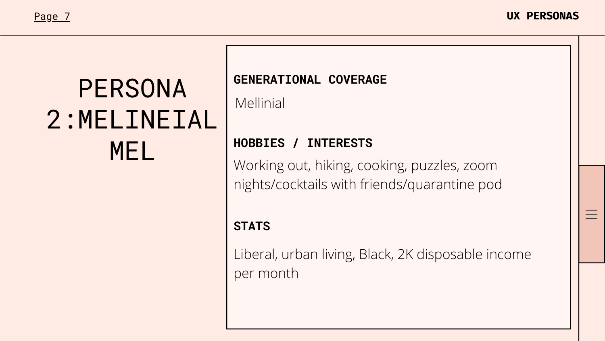### PERSONA 2:MELINEIAL MEL

#### Page 7 **UX PERSONAS**

### **GENERATIONAL COVERAGE** Mellinial

### **HOBBIES / INTERESTS**

### **STATS**

Working out, hiking, cooking, puzzles, zoom nights/cocktails with friends/quarantine pod

Liberal, urban living, Black, 2K disposable income per month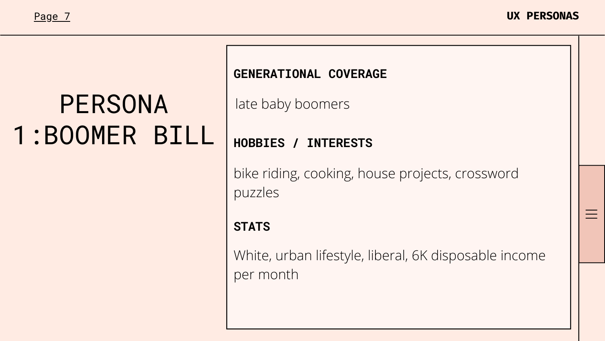### PERSONA 1:BOOMER BILL

#### Page 7 **UX PERSONAS**

#### **GENERATIONAL COVERAGE**

#### **HOBBIES / INTERESTS**

#### **STATS**

late baby boomers

bike riding, cooking, house projects, crossword puzzles

### White, urban lifestyle, liberal, 6K disposable income

per month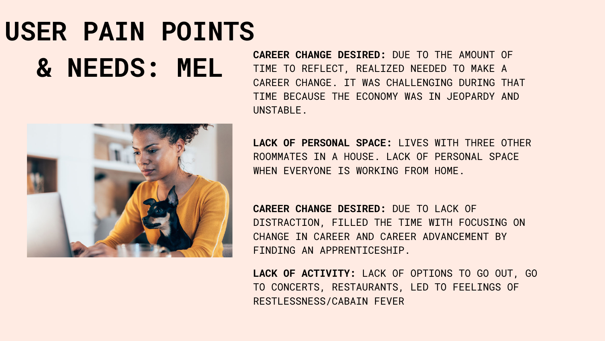# **USER PAIN POINTS & NEEDS: MEL**



**CAREER CHANGE DESIRED:** DUE TO THE AMOUNT OF TIME TO REFLECT, REALIZED NEEDED TO MAKE A CAREER CHANGE. IT WAS CHALLENGING DURING THAT TIME BECAUSE THE ECONOMY WAS IN JEOPARDY AND UNSTABLE.

**LACK OF PERSONAL SPACE:** LIVES WITH THREE OTHER ROOMMATES IN A HOUSE. LACK OF PERSONAL SPACE WHEN EVERYONE IS WORKING FROM HOME.

**CAREER CHANGE DESIRED:** DUE TO LACK OF DISTRACTION, FILLED THE TIME WITH FOCUSING ON CHANGE IN CAREER AND CAREER ADVANCEMENT BY FINDING AN APPRENTICESHIP.

**LACK OF ACTIVITY:** LACK OF OPTIONS TO GO OUT, GO TO CONCERTS, RESTAURANTS, LED TO FEELINGS OF RESTLESSNESS/CABAIN FEVER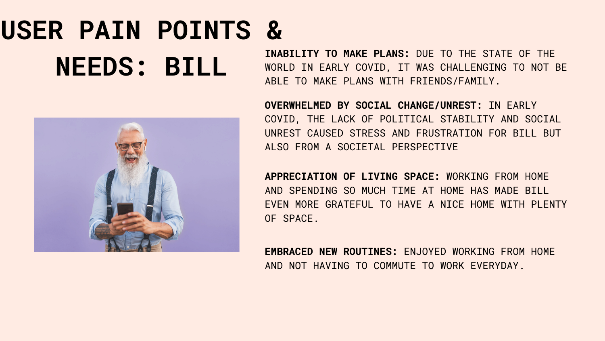# **USER PAIN POINTS & NEEDS: BILL**



**INABILITY TO MAKE PLANS:** DUE TO THE STATE OF THE WORLD IN EARLY COVID, IT WAS CHALLENGING TO NOT BE ABLE TO MAKE PLANS WITH FRIENDS/FAMILY.

**OVERWHELMED BY SOCIAL CHANGE/UNREST:** IN EARLY COVID, THE LACK OF POLITICAL STABILITY AND SOCIAL UNREST CAUSED STRESS AND FRUSTRATION FOR BILL BUT ALSO FROM A SOCIETAL PERSPECTIVE

**APPRECIATION OF LIVING SPACE:** WORKING FROM HOME AND SPENDING SO MUCH TIME AT HOME HAS MADE BILL EVEN MORE GRATEFUL TO HAVE A NICE HOME WITH PLENTY OF SPACE.

**EMBRACED NEW ROUTINES:** ENJOYED WORKING FROM HOME AND NOT HAVING TO COMMUTE TO WORK EVERYDAY.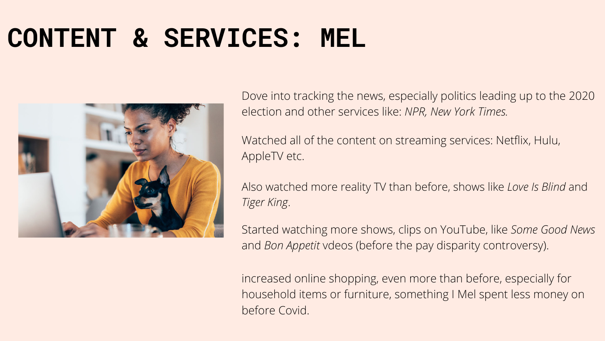### **CONTENT & SERVICES: MEL**



Dove into tracking the news, especially politics leading up to the 2020 election and other services like: *NPR, New York Times.*

Watched all of the content on streaming services: Netflix, Hulu, AppleTV etc.

Also watched more reality TV than before, shows like *Love Is Blind* and *Tiger King*.

Started watching more shows, clips on YouTube, like *Some Good News* and *Bon Appetit* vdeos (before the pay disparity controversy).

increased online shopping, even more than before, especially for household items or furniture, something I Mel spent less money on before Covid.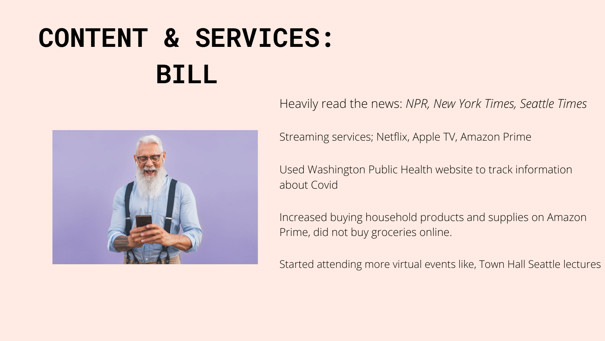# **CONTENT & SERVICES: BILL**



Streaming services; Netflix, Apple TV, Amazon Prime

Used Washington Public Health website to track information

about Covid

Heavily read the news: *NPR, New York Times, Seattle Times*

Increased buying household products and supplies on Amazon Prime, did not buy groceries online.

Started attending more virtual events like, Town Hall Seattle lectures